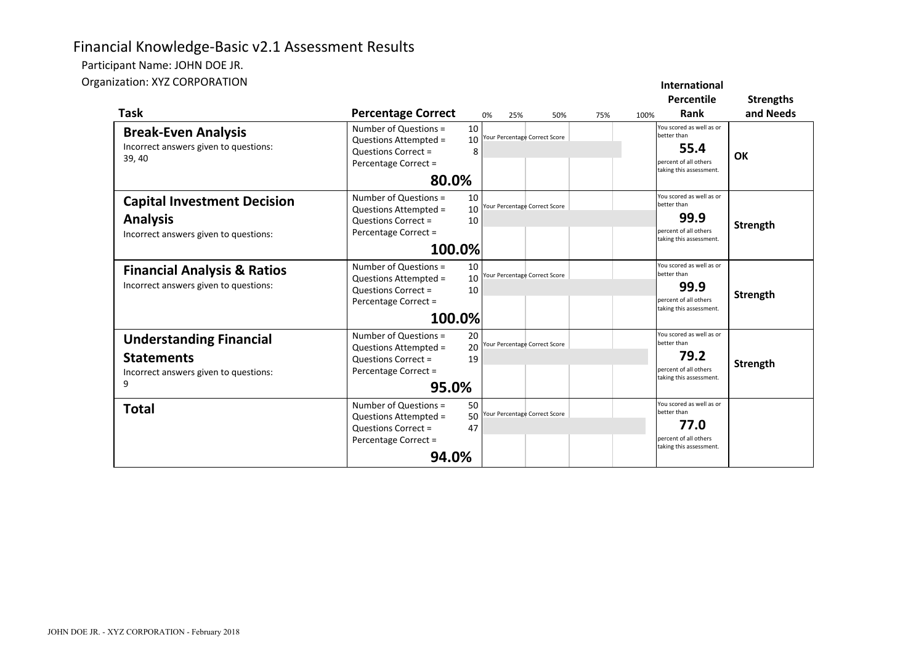# Financial Knowledge-Basic v2.1 Assessment Results

Participant Name: JOHN DOE JR.

Organization: XYZ CORPORATION

| nization: XYZ CORPORATION                                                                         |                                                                                                                                                             |           |                                     |     |      | International<br><b>Percentile</b>                                                                                 | <b>Strengths</b> |
|---------------------------------------------------------------------------------------------------|-------------------------------------------------------------------------------------------------------------------------------------------------------------|-----------|-------------------------------------|-----|------|--------------------------------------------------------------------------------------------------------------------|------------------|
| Task<br><b>Break-Even Analysis</b><br>Incorrect answers given to questions:<br>39,40              | <b>Percentage Correct</b><br>Number of Questions =<br>10<br>Questions Attempted =<br>10<br><b>Questions Correct =</b><br>8<br>Percentage Correct =<br>80.0% | 0%<br>25% | 50%<br>our Percentage Correct Score | 75% | 100% | <b>Rank</b><br>You scored as well as or<br>better than<br>55.4<br>percent of all others<br>taking this assessment. | and Needs<br>OK  |
| <b>Capital Investment Decision</b><br><b>Analysis</b><br>Incorrect answers given to questions:    | Number of Questions =<br>10<br>10<br>Questions Attempted =<br><b>Questions Correct =</b><br>10<br>Percentage Correct =<br>100.0%                            |           | our Percentage Correct Score        |     |      | You scored as well as or<br>better than<br>99.9<br>percent of all others<br>taking this assessment.                | <b>Strength</b>  |
| <b>Financial Analysis &amp; Ratios</b><br>Incorrect answers given to questions:                   | Number of Questions =<br>10<br>10<br>Questions Attempted =<br>10<br><b>Questions Correct =</b><br>Percentage Correct =<br>100.0%                            |           | our Percentage Correct Score        |     |      | ou scored as well as or<br>better than<br>99.9<br>percent of all others<br>taking this assessment.                 | Strength         |
| <b>Understanding Financial</b><br><b>Statements</b><br>Incorrect answers given to questions:<br>9 | Number of Questions =<br>20<br>20<br>Questions Attempted =<br><b>Questions Correct =</b><br>19<br>Percentage Correct =<br>95.0%                             |           | our Percentage Correct Score        |     |      | You scored as well as or<br>better than<br>79.2<br>percent of all others<br>taking this assessment.                | Strength         |
| <b>Total</b>                                                                                      | 50<br>Number of Questions =<br>50<br>Questions Attempted =<br>47<br><b>Questions Correct =</b><br>Percentage Correct =<br>94.0%                             |           | our Percentage Correct Score        |     |      | You scored as well as or<br>better than<br>77.0<br>percent of all others<br>taking this assessment.                |                  |